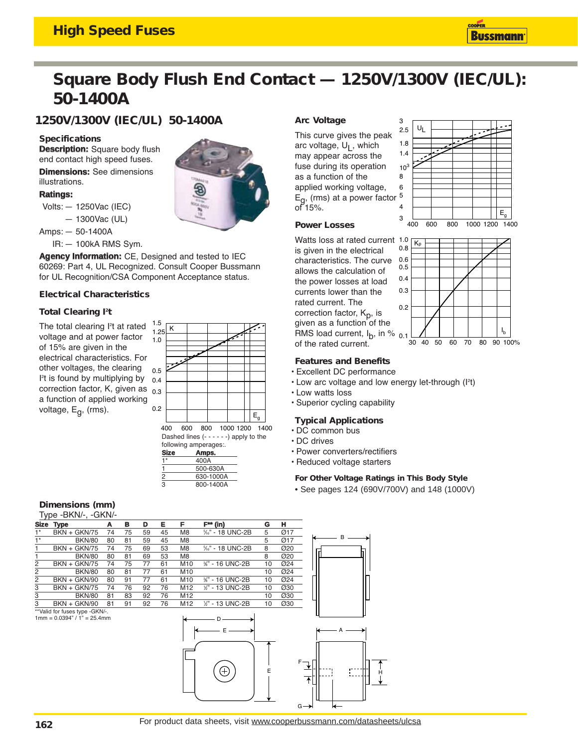## **High Speed Fuses**

# **Square Body Flush End Contact — 1250V/1300V (IEC/UL): 50-1400A**

**1250V/1300V (IEC/UL) 50-1400A**

## **Specifications**

**Description:** Square body flush end contact high speed fuses.

**Dimensions:** See dimensions illustrations.

## **Ratings:**

Volts: — 1250Vac (IEC)

- 1300Vac (UL)
- Amps: 50-1400A

IR: — 100kA RMS Sym.

**Agency Information:** CE, Designed and tested to IEC 60269: Part 4, UL Recognized. Consult Cooper Bussmann for UL Recognition/CSA Component Acceptance status.

## **Electrical Characteristics**

## **Total Clearing I<sup>2</sup>t**

The total clearing l<sup>2</sup>t at rated voltage and at power factor of 15% are given in the electrical characteristics. For other voltages, the clearing I 2 t is found by multiplying by correction factor, K, given as <sub>0.3</sub> a function of applied working voltage, Eg, (rms).



| <b>Size</b> | Amps.     |
|-------------|-----------|
| 1*          | 400A      |
|             | 500-630A  |
| 2           | 630-1000A |
| з           | 800-1400A |

## **Dimensions (mm)**

| Type -BKN/-, -GKN/- |                                                                 |    |    |    |    |                |                  |    |     |                                                |
|---------------------|-----------------------------------------------------------------|----|----|----|----|----------------|------------------|----|-----|------------------------------------------------|
|                     | Size Type                                                       | A  | в  | D  | Е  | F              | $F^*$ (in)       | G  | н   |                                                |
| $1^*$               | <b>BKN + GKN/75</b>                                             | 74 | 75 | 59 | 45 | M <sub>8</sub> | %" - 18 UNC-2B   | 5  | Ø17 |                                                |
| $1*$                | <b>BKN/80</b>                                                   | 80 | 81 | 59 | 45 | M <sub>8</sub> |                  | 5  | Ø17 | <sub>R</sub>                                   |
|                     | <b>BKN + GKN/75</b>                                             | 74 | 75 | 69 | 53 | M <sub>8</sub> | %" - 18 UNC-2B   | 8  | Ø20 |                                                |
|                     | <b>BKN/80</b>                                                   | 80 | 81 | 69 | 53 | M <sub>8</sub> |                  | 8  | Ø20 |                                                |
| $\overline{c}$      | <b>BKN + GKN/75</b>                                             | 74 | 75 | 77 | 61 | M10            | %" - 16 UNC-2B   | 10 | Ø24 |                                                |
| $\overline{c}$      | <b>BKN/80</b>                                                   | 80 | 81 | 77 | 61 | M10            |                  | 10 | Ø24 |                                                |
| $\overline{c}$      | $BKN + GKN/90$                                                  | 80 | 91 | 77 | 61 | M10            | %" - 16 UNC-2B   | 10 | Ø24 |                                                |
| $\overline{3}$      | <b>BKN + GKN/75</b>                                             | 74 | 76 | 92 | 76 | M12            | 1/2" - 13 UNC-2B | 10 | Ø30 |                                                |
| 3                   | <b>BKN/80</b>                                                   | 81 | 83 | 92 | 76 | M12            |                  | 10 | Ø30 |                                                |
| 3                   | BKN + GKN/90                                                    | 81 | 91 | 92 | 76 | M12            | 1/2" - 13 UNC-2B | 10 | Ø30 |                                                |
|                     | **Valid for fuses type -GKN/-.<br>$1mm = 0.0394" / 1" = 25.4mm$ |    |    |    |    |                | $^{+}$           | E  |     | A<br>F<br>Н<br>$G \rightarrow$<br>$\leftarrow$ |

## **Arc Voltage**

This curve gives the peak arc voltage,  $U<sub>1</sub>$ , which may appear across the fuse during its operation as a function of the applied working voltage,  $E_{\Omega}$ , (rms) at a power factor of 15%.



Watts loss at rated current is given in the electrical characteristics. The curve allows the calculation of the power losses at load currents lower than the rated current. The correction factor, K<sub>p</sub>, is given as a function of the RMS load current,  $I_{\mathsf{b}}$ , in  $\%$  <sub>0.1</sub> of the rated current.





## **Features and Benefits**

- Excellent DC performance
- $\cdot$  Low arc voltage and low energy let-through ( $P$ )
- Low watts loss
- Superior cycling capability

### **Typical Applications**

- DC common bus
- DC drives
- Power converters/rectifiers
- Reduced voltage starters

### **For Other Voltage Ratings in This Body Style**

• See pages 124 (690V/700V) and 148 (1000V)